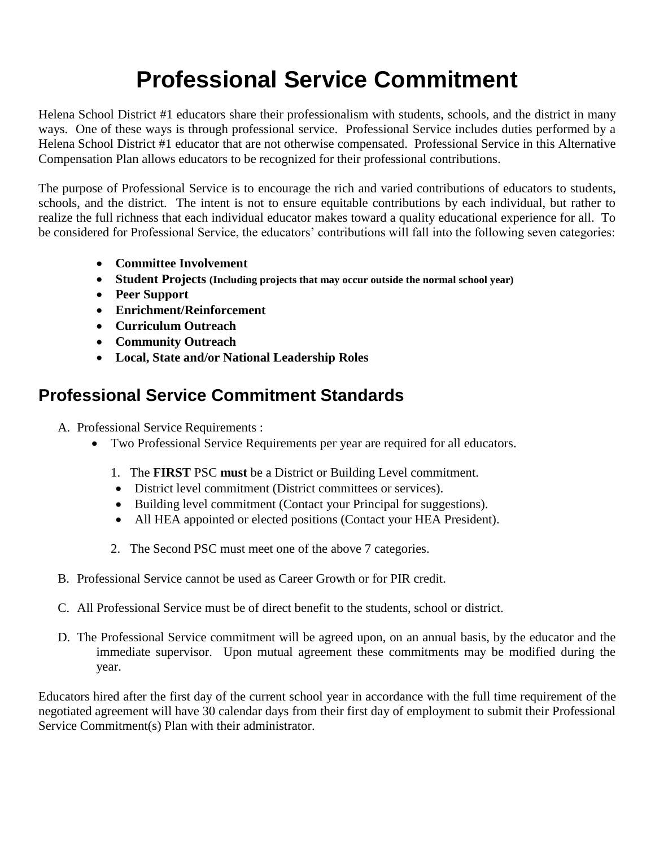## **Professional Service Commitment**

Helena School District #1 educators share their professionalism with students, schools, and the district in many ways. One of these ways is through professional service. Professional Service includes duties performed by a Helena School District #1 educator that are not otherwise compensated. Professional Service in this Alternative Compensation Plan allows educators to be recognized for their professional contributions.

The purpose of Professional Service is to encourage the rich and varied contributions of educators to students, schools, and the district. The intent is not to ensure equitable contributions by each individual, but rather to realize the full richness that each individual educator makes toward a quality educational experience for all. To be considered for Professional Service, the educators' contributions will fall into the following seven categories:

- **Committee Involvement**
- **Student Projects (Including projects that may occur outside the normal school year)**
- **Peer Support**
- **Enrichment/Reinforcement**
- **Curriculum Outreach**
- **Community Outreach**
- **Local, State and/or National Leadership Roles**

## **Professional Service Commitment Standards**

A. Professional Service Requirements :

- Two Professional Service Requirements per year are required for all educators.
	- 1. The **FIRST** PSC **must** be a District or Building Level commitment.
	- District level commitment (District committees or services).
	- Building level commitment (Contact your Principal for suggestions).
	- All HEA appointed or elected positions (Contact your HEA President).
	- 2. The Second PSC must meet one of the above 7 categories.
- B. Professional Service cannot be used as Career Growth or for PIR credit.
- C. All Professional Service must be of direct benefit to the students, school or district.
- D. The Professional Service commitment will be agreed upon, on an annual basis, by the educator and the immediate supervisor. Upon mutual agreement these commitments may be modified during the year.

Educators hired after the first day of the current school year in accordance with the full time requirement of the negotiated agreement will have 30 calendar days from their first day of employment to submit their Professional Service Commitment(s) Plan with their administrator.